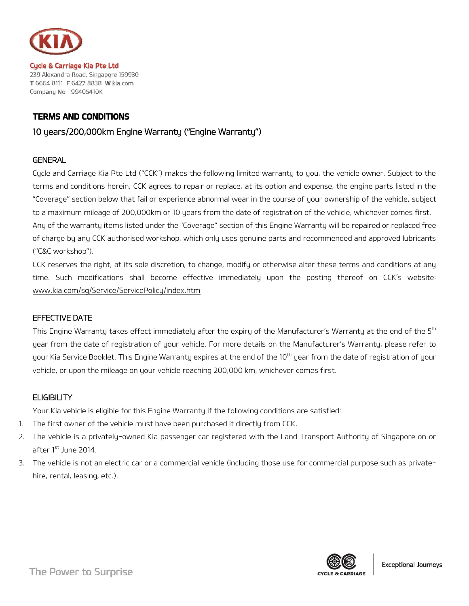

**Cycle & Carriage Kia Pte Ltd** 239 Alexandra Road, Singapore 159930 T 6664 8111 F 6427 8838 W kia.com<br>Company No. 199405410K

# TERMS AND CONDITIONS

# 10 years/200,000km Engine Warranty ("Engine Warranty")

# **GENERAL**

Cycle and Carriage Kia Pte Ltd ("CCK") makes the following limited warranty to you, the vehicle owner. Subject to the terms and conditions herein, CCK agrees to repair or replace, at its option and expense, the engine parts listed in the "Coverage" section below that fail or experience abnormal wear in the course of your ownership of the vehicle, subject to a maximum mileage of 200,000km or 10 years from the date of registration of the vehicle, whichever comes first. Any of the warranty items listed under the "Coverage" section of this Engine Warranty will be repaired or replaced free of charge by any CCK authorised workshop, which only uses genuine parts and recommended and approved lubricants ("C&C workshop").

CCK reserves the right, at its sole discretion, to change, modify or otherwise alter these terms and conditions at any time. Such modifications shall become effective immediately upon the posting thereof on CCK's website: [www.kia.com/sg/Service/ServicePolicy/index.htm](http://www.kia.com/sg/Service/ServicePolicy/index.htm)

#### EFFECTIVE DATE

This Engine Warranty takes effect immediately after the expiry of the Manufacturer's Warranty at the end of the 5<sup>th</sup> year from the date of registration of your vehicle. For more details on the Manufacturer's Warranty, please refer to your Kia Service Booklet. This Engine Warranty expires at the end of the 10<sup>th</sup> year from the date of registration of your vehicle, or upon the mileage on your vehicle reaching 200,000 km, whichever comes first.

#### **ELIGIBILITY**

Your Kia vehicle is eligible for this Engine Warranty if the following conditions are satisfied:

- 1. The first owner of the vehicle must have been purchased it directly from CCK.
- 2. The vehicle is a privately-owned Kia passenger car registered with the Land Transport Authority of Singapore on or after 1<sup>st</sup> June 2014.
- 3. The vehicle is not an electric car or a commercial vehicle (including those use for commercial purpose such as privatehire, rental, leasing, etc.).

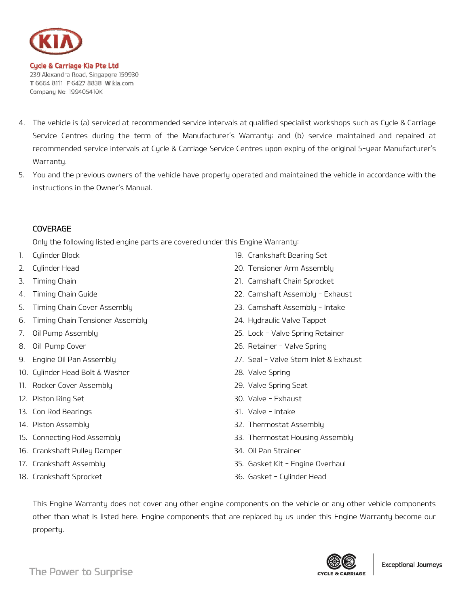

**Cycle & Carriage Kia Pte Ltd** 239 Alexandra Road, Singapore 159930 T 6664 8111 F 6427 8838 W kia.com Company No. 199405410K

- 4. The vehicle is (a) serviced at recommended service intervals at qualified specialist workshops such as Cycle & Carriage Service Centres during the term of the Manufacturer's Warranty; and (b) service maintained and repaired at recommended service intervals at Cycle & Carriage Service Centres upon expiry of the original 5-year Manufacturer's Warrantu.
- 5. You and the previous owners of the vehicle have properly operated and maintained the vehicle in accordance with the instructions in the Owner's Manual.

# COVERAGE

Only the following listed engine parts are covered under this Engine Warranty:

- 1. Cylinder Block
- 2. Cylinder Head
- 3. Timing Chain
- 4. Timing Chain Guide
- 5. Timing Chain Cover Assembly
- 6. Timing Chain Tensioner Assembly
- 7. Oil Pump Assembly
- 8. Oil Pump Cover
- 9. Engine Oil Pan Assembly
- 10. Cylinder Head Bolt & Washer
- 11. Rocker Cover Assembly
- 12. Piston Ring Set
- 13. Con Rod Bearings
- 14. Piston Assembly
- 15. Connecting Rod Assembly
- 16. Crankshaft Pulley Damper
- 17. Crankshaft Assembly
- 18. Crankshaft Sprocket
- 19. Crankshaft Bearing Set
- 20. Tensioner Arm Assembly
- 21. Camshaft Chain Sprocket
- 22. Camshaft Assembly Exhaust
- 23. Camshaft Assembly Intake
- 24. Hydraulic Valve Tappet
- 25. Lock Valve Spring Retainer
- 26. Retainer Valve Spring
- 27. Seal Valve Stem Inlet & Exhaust
- 28. Valve Spring
- 29. Valve Spring Seat
- 30. Valve Exhaust
- 31. Valve Intake
- 32. Thermostat Assembly
- 33. Thermostat Housing Assembly
- 34. Oil Pan Strainer
- 35. Gasket Kit Engine Overhaul
- 36. Gasket Cylinder Head

This Engine Warranty does not cover any other engine components on the vehicle or any other vehicle components other than what is listed here. Engine components that are replaced by us under this Engine Warranty become our property.

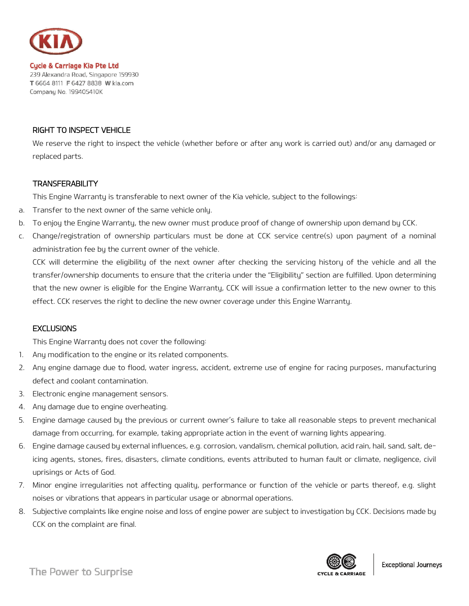

**Cycle & Carriage Kia Pte Ltd** 239 Alexandra Road, Singapore 159930 T 6664 8111 F 6427 8838 W kia.com<br>Company No. 199405410K

# RIGHT TO INSPECT VEHICLE

We reserve the right to inspect the vehicle (whether before or after any work is carried out) and/or any damaged or replaced parts.

#### TRANSFERABILITY

This Engine Warranty is transferable to next owner of the Kia vehicle, subject to the followings:

- a. Transfer to the next owner of the same vehicle only.
- b. To enjoy the Engine Warranty, the new owner must produce proof of change of ownership upon demand by CCK.
- c. Change/registration of ownership particulars must be done at CCK service centre(s) upon payment of a nominal administration fee by the current owner of the vehicle.

CCK will determine the eligibility of the next owner after checking the servicing history of the vehicle and all the transfer/ownership documents to ensure that the criteria under the "Eligibility" section are fulfilled. Upon determining that the new owner is eligible for the Engine Warranty, CCK will issue a confirmation letter to the new owner to this effect. CCK reserves the right to decline the new owner coverage under this Engine Warranty.

#### **EXCLUSIONS**

This Engine Warranty does not cover the following:

- 1. Any modification to the engine or its related components.
- 2. Any engine damage due to flood, water ingress, accident, extreme use of engine for racing purposes, manufacturing defect and coolant contamination.
- 3. Electronic engine management sensors.
- 4. Any damage due to engine overheating.
- 5. Engine damage caused by the previous or current owner's failure to take all reasonable steps to prevent mechanical damage from occurring, for example, taking appropriate action in the event of warning lights appearing.
- 6. Engine damage caused by external influences, e.g. corrosion, vandalism, chemical pollution, acid rain, hail, sand, salt, deicing agents, stones, fires, disasters, climate conditions, events attributed to human fault or climate, negligence, civil uprisings or Acts of God.
- 7. Minor engine irregularities not affecting quality, performance or function of the vehicle or parts thereof, e.g. slight noises or vibrations that appears in particular usage or abnormal operations.
- 8. Subjective complaints like engine noise and loss of engine power are subject to investigation by CCK. Decisions made by CCK on the complaint are final.



The Power to Surprise